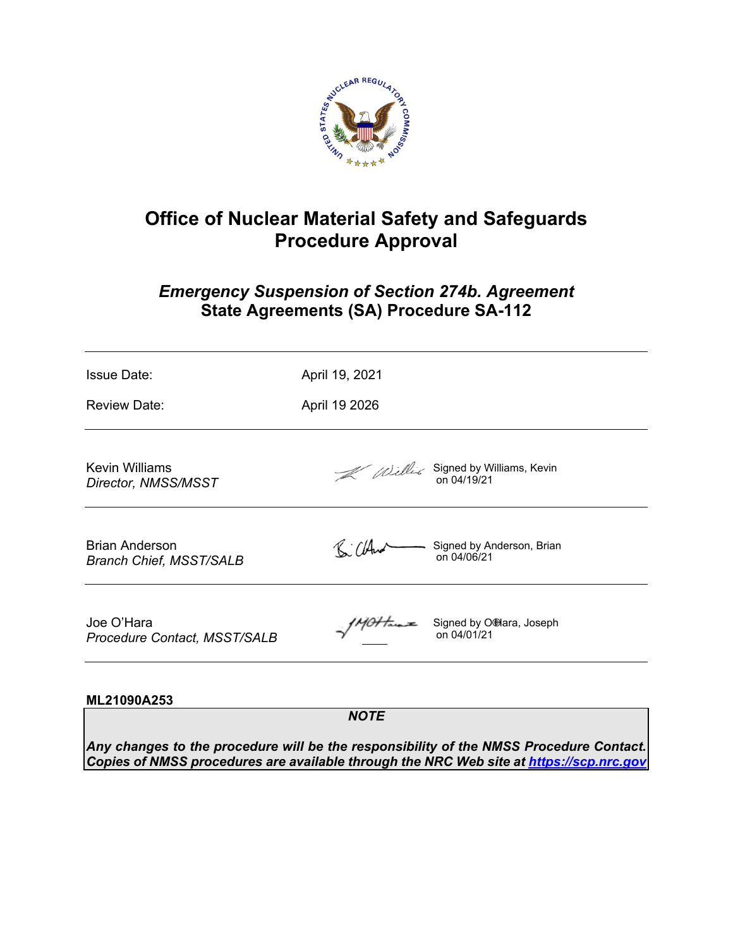

# **Office of Nuclear Material Safety and Safeguards Procedure Approval**

# *Emergency Suspension of Section 274b. Agreement* **State Agreements (SA) Procedure SA-112**

| <b>Issue Date:</b>                               | April 19, 2021 |                                          |  |
|--------------------------------------------------|----------------|------------------------------------------|--|
| <b>Review Date:</b>                              | April 19 2026  |                                          |  |
| Kevin Williams<br>Director, NMSS/MSST            |                | Williams, Kevin<br>on 04/19/21           |  |
| Brian Anderson<br><b>Branch Chief, MSST/SALB</b> | R: Cland       | Signed by Anderson, Brian<br>on 04/06/21 |  |
| Joe O'Hara<br>Procedure Contact, MSST/SALB       |                | $\frac{1}{2}$ Signed by O'Hara, Joseph   |  |

# **ML21090A253**

*NOTE*

*Any changes to the procedure will be the responsibility of the NMSS Procedure Contact. Copies of NMSS procedures are available through the NRC Web site at https://scp.nrc.gov*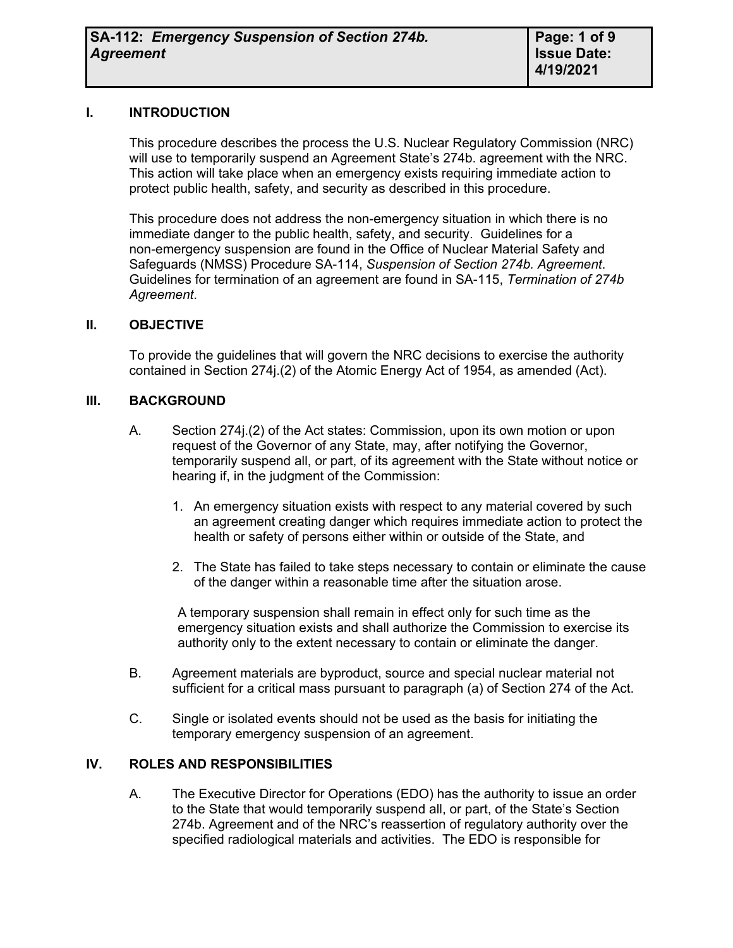#### **I. INTRODUCTION**

This procedure describes the process the U.S. Nuclear Regulatory Commission (NRC) will use to temporarily suspend an Agreement State's 274b. agreement with the NRC. This action will take place when an emergency exists requiring immediate action to protect public health, safety, and security as described in this procedure.

This procedure does not address the non-emergency situation in which there is no immediate danger to the public health, safety, and security. Guidelines for a non-emergency suspension are found in the Office of Nuclear Material Safety and Safeguards (NMSS) Procedure SA-114, *Suspension of Section 274b. Agreement*. Guidelines for termination of an agreement are found in SA-115, *Termination of 274b Agreement*.

#### **II. OBJECTIVE**

To provide the guidelines that will govern the NRC decisions to exercise the authority contained in Section 274j.(2) of the Atomic Energy Act of 1954, as amended (Act).

#### **III. BACKGROUND**

- A. Section 274j.(2) of the Act states: Commission, upon its own motion or upon request of the Governor of any State, may, after notifying the Governor, temporarily suspend all, or part, of its agreement with the State without notice or hearing if, in the judgment of the Commission:
	- 1. An emergency situation exists with respect to any material covered by such an agreement creating danger which requires immediate action to protect the health or safety of persons either within or outside of the State, and
	- 2. The State has failed to take steps necessary to contain or eliminate the cause of the danger within a reasonable time after the situation arose.

A temporary suspension shall remain in effect only for such time as the emergency situation exists and shall authorize the Commission to exercise its authority only to the extent necessary to contain or eliminate the danger.

- B. Agreement materials are byproduct, source and special nuclear material not sufficient for a critical mass pursuant to paragraph (a) of Section 274 of the Act.
- C. Single or isolated events should not be used as the basis for initiating the temporary emergency suspension of an agreement.

# **IV. ROLES AND RESPONSIBILITIES**

A. The Executive Director for Operations (EDO) has the authority to issue an order to the State that would temporarily suspend all, or part, of the State's Section 274b. Agreement and of the NRC's reassertion of regulatory authority over the specified radiological materials and activities. The EDO is responsible for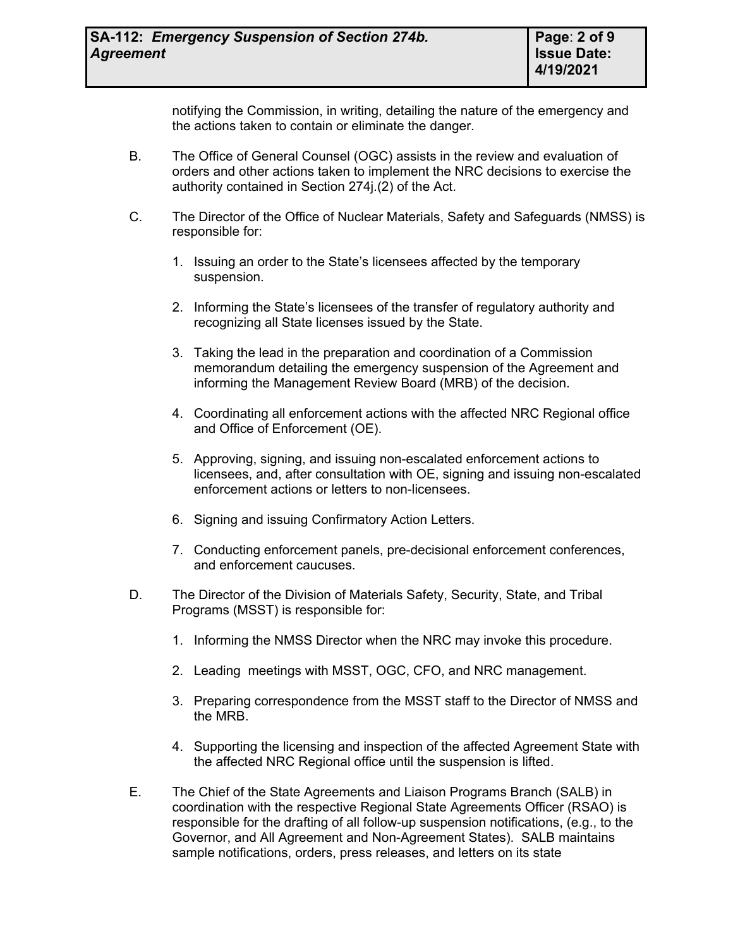notifying the Commission, in writing, detailing the nature of the emergency and the actions taken to contain or eliminate the danger.

- B. The Office of General Counsel (OGC) assists in the review and evaluation of orders and other actions taken to implement the NRC decisions to exercise the authority contained in Section 274j.(2) of the Act.
- C. The Director of the Office of Nuclear Materials, Safety and Safeguards (NMSS) is responsible for:
	- 1. Issuing an order to the State's licensees affected by the temporary suspension.
	- 2. Informing the State's licensees of the transfer of regulatory authority and recognizing all State licenses issued by the State.
	- 3. Taking the lead in the preparation and coordination of a Commission memorandum detailing the emergency suspension of the Agreement and informing the Management Review Board (MRB) of the decision.
	- 4. Coordinating all enforcement actions with the affected NRC Regional office and Office of Enforcement (OE).
	- 5. Approving, signing, and issuing non-escalated enforcement actions to licensees, and, after consultation with OE, signing and issuing non-escalated enforcement actions or letters to non-licensees.
	- 6. Signing and issuing Confirmatory Action Letters.
	- 7. Conducting enforcement panels, pre-decisional enforcement conferences, and enforcement caucuses.
- D. The Director of the Division of Materials Safety, Security, State, and Tribal Programs (MSST) is responsible for:
	- 1. Informing the NMSS Director when the NRC may invoke this procedure.
	- 2. Leading meetings with MSST, OGC, CFO, and NRC management.
	- 3. Preparing correspondence from the MSST staff to the Director of NMSS and the MRB.
	- 4. Supporting the licensing and inspection of the affected Agreement State with the affected NRC Regional office until the suspension is lifted.
- E. The Chief of the State Agreements and Liaison Programs Branch (SALB) in coordination with the respective Regional State Agreements Officer (RSAO) is responsible for the drafting of all follow-up suspension notifications, (e.g., to the Governor, and All Agreement and Non-Agreement States). SALB maintains sample notifications, orders, press releases, and letters on its state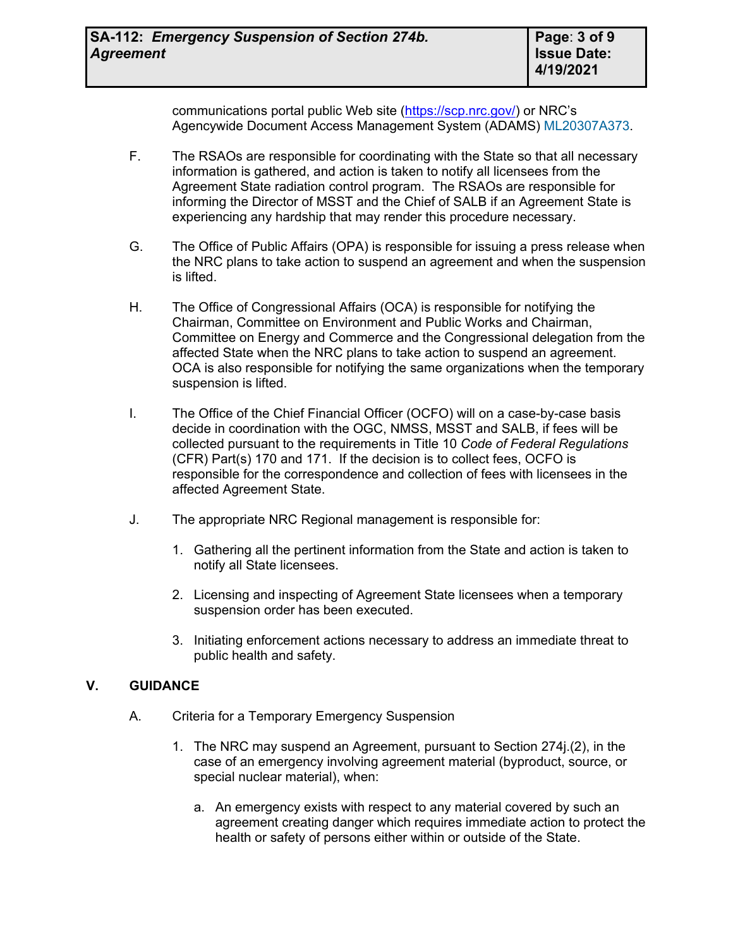communications portal public Web site [\(https://scp.nrc.gov/\)](https://scp.nrc.gov/) or NRC's Agencywide Document Access Management System (ADAMS) [ML20307A373](https://adamsxt.nrc.gov/navigator/AdamsXT/content/downloadContent.faces?objectStoreName=MainLibrary&vsId=%7b967BF2A5-4DF6-C0E0-8EDD-758A0BA00000%7d&ForceBrowserDownloadMgrPrompt=false).

- F. The RSAOs are responsible for coordinating with the State so that all necessary information is gathered, and action is taken to notify all licensees from the Agreement State radiation control program. The RSAOs are responsible for informing the Director of MSST and the Chief of SALB if an Agreement State is experiencing any hardship that may render this procedure necessary.
- G. The Office of Public Affairs (OPA) is responsible for issuing a press release when the NRC plans to take action to suspend an agreement and when the suspension is lifted.
- H. The Office of Congressional Affairs (OCA) is responsible for notifying the Chairman, Committee on Environment and Public Works and Chairman, Committee on Energy and Commerce and the Congressional delegation from the affected State when the NRC plans to take action to suspend an agreement. OCA is also responsible for notifying the same organizations when the temporary suspension is lifted.
- I. The Office of the Chief Financial Officer (OCFO) will on a case-by-case basis decide in coordination with the OGC, NMSS, MSST and SALB, if fees will be collected pursuant to the requirements in Title 10 *Code of Federal Regulations* (CFR) Part(s) 170 and 171. If the decision is to collect fees, OCFO is responsible for the correspondence and collection of fees with licensees in the affected Agreement State.
- J. The appropriate NRC Regional management is responsible for:
	- 1. Gathering all the pertinent information from the State and action is taken to notify all State licensees.
	- 2. Licensing and inspecting of Agreement State licensees when a temporary suspension order has been executed.
	- 3. Initiating enforcement actions necessary to address an immediate threat to public health and safety.

# **V. GUIDANCE**

- A. Criteria for a Temporary Emergency Suspension
	- 1. The NRC may suspend an Agreement, pursuant to Section 274j.(2), in the case of an emergency involving agreement material (byproduct, source, or special nuclear material), when:
		- a. An emergency exists with respect to any material covered by such an agreement creating danger which requires immediate action to protect the health or safety of persons either within or outside of the State.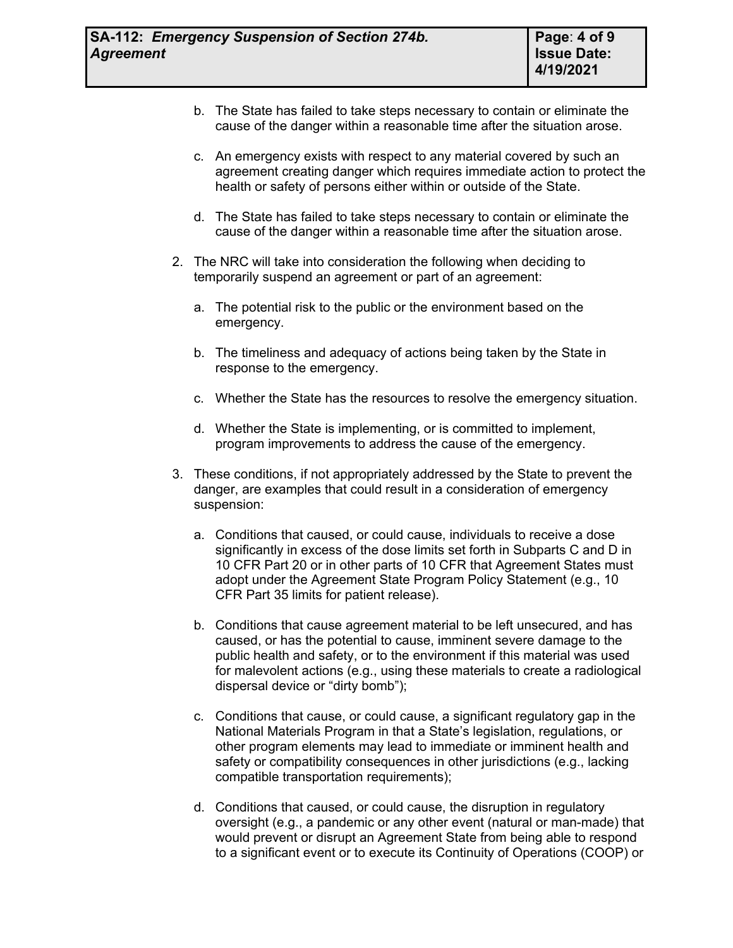- b. The State has failed to take steps necessary to contain or eliminate the cause of the danger within a reasonable time after the situation arose.
- c. An emergency exists with respect to any material covered by such an agreement creating danger which requires immediate action to protect the health or safety of persons either within or outside of the State.
- d. The State has failed to take steps necessary to contain or eliminate the cause of the danger within a reasonable time after the situation arose.
- 2. The NRC will take into consideration the following when deciding to temporarily suspend an agreement or part of an agreement:
	- a. The potential risk to the public or the environment based on the emergency.
	- b. The timeliness and adequacy of actions being taken by the State in response to the emergency.
	- c. Whether the State has the resources to resolve the emergency situation.
	- d. Whether the State is implementing, or is committed to implement, program improvements to address the cause of the emergency.
- 3. These conditions, if not appropriately addressed by the State to prevent the danger, are examples that could result in a consideration of emergency suspension:
	- a. Conditions that caused, or could cause, individuals to receive a dose significantly in excess of the dose limits set forth in Subparts C and D in 10 CFR Part 20 or in other parts of 10 CFR that Agreement States must adopt under the Agreement State Program Policy Statement (e.g., 10 CFR Part 35 limits for patient release).
	- b. Conditions that cause agreement material to be left unsecured, and has caused, or has the potential to cause, imminent severe damage to the public health and safety, or to the environment if this material was used for malevolent actions (e.g., using these materials to create a radiological dispersal device or "dirty bomb");
	- c. Conditions that cause, or could cause, a significant regulatory gap in the National Materials Program in that a State's legislation, regulations, or other program elements may lead to immediate or imminent health and safety or compatibility consequences in other jurisdictions (e.g., lacking compatible transportation requirements);
	- d. Conditions that caused, or could cause, the disruption in regulatory oversight (e.g., a pandemic or any other event (natural or man-made) that would prevent or disrupt an Agreement State from being able to respond to a significant event or to execute its Continuity of Operations (COOP) or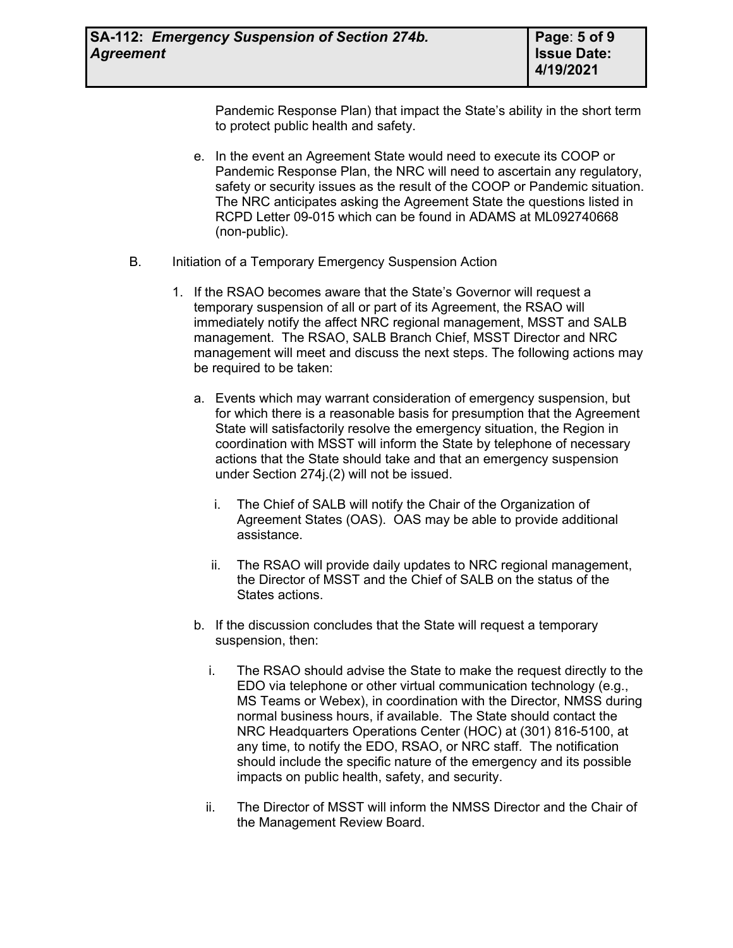Pandemic Response Plan) that impact the State's ability in the short term to protect public health and safety.

- e. In the event an Agreement State would need to execute its COOP or Pandemic Response Plan, the NRC will need to ascertain any regulatory, safety or security issues as the result of the COOP or Pandemic situation. The NRC anticipates asking the Agreement State the questions listed in RCPD Letter 09-015 which can be found in ADAMS at ML092740668 (non-public).
- B. Initiation of a Temporary Emergency Suspension Action
	- 1. If the RSAO becomes aware that the State's Governor will request a temporary suspension of all or part of its Agreement, the RSAO will immediately notify the affect NRC regional management, MSST and SALB management. The RSAO, SALB Branch Chief, MSST Director and NRC management will meet and discuss the next steps. The following actions may be required to be taken:
		- a. Events which may warrant consideration of emergency suspension, but for which there is a reasonable basis for presumption that the Agreement State will satisfactorily resolve the emergency situation, the Region in coordination with MSST will inform the State by telephone of necessary actions that the State should take and that an emergency suspension under Section 274j.(2) will not be issued.
			- i. The Chief of SALB will notify the Chair of the Organization of Agreement States (OAS). OAS may be able to provide additional assistance.
			- ii. The RSAO will provide daily updates to NRC regional management, the Director of MSST and the Chief of SALB on the status of the States actions.
		- b. If the discussion concludes that the State will request a temporary suspension, then:
			- i. The RSAO should advise the State to make the request directly to the EDO via telephone or other virtual communication technology (e.g., MS Teams or Webex), in coordination with the Director, NMSS during normal business hours, if available. The State should contact the NRC Headquarters Operations Center (HOC) at (301) 816-5100, at any time, to notify the EDO, RSAO, or NRC staff. The notification should include the specific nature of the emergency and its possible impacts on public health, safety, and security.
			- ii. The Director of MSST will inform the NMSS Director and the Chair of the Management Review Board.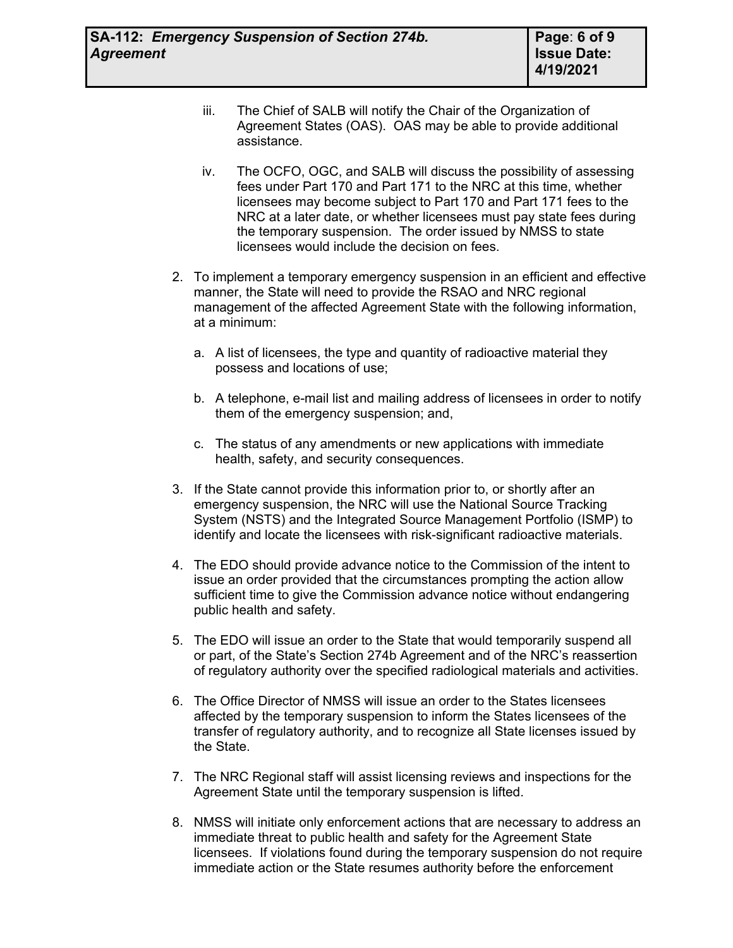- iii. The Chief of SALB will notify the Chair of the Organization of Agreement States (OAS). OAS may be able to provide additional assistance.
- iv. The OCFO, OGC, and SALB will discuss the possibility of assessing fees under Part 170 and Part 171 to the NRC at this time, whether licensees may become subject to Part 170 and Part 171 fees to the NRC at a later date, or whether licensees must pay state fees during the temporary suspension. The order issued by NMSS to state licensees would include the decision on fees.
- 2. To implement a temporary emergency suspension in an efficient and effective manner, the State will need to provide the RSAO and NRC regional management of the affected Agreement State with the following information, at a minimum:
	- a. A list of licensees, the type and quantity of radioactive material they possess and locations of use;
	- b. A telephone, e-mail list and mailing address of licensees in order to notify them of the emergency suspension; and,
	- c. The status of any amendments or new applications with immediate health, safety, and security consequences.
- 3. If the State cannot provide this information prior to, or shortly after an emergency suspension, the NRC will use the National Source Tracking System (NSTS) and the Integrated Source Management Portfolio (ISMP) to identify and locate the licensees with risk-significant radioactive materials.
- 4. The EDO should provide advance notice to the Commission of the intent to issue an order provided that the circumstances prompting the action allow sufficient time to give the Commission advance notice without endangering public health and safety.
- 5. The EDO will issue an order to the State that would temporarily suspend all or part, of the State's Section 274b Agreement and of the NRC's reassertion of regulatory authority over the specified radiological materials and activities.
- 6. The Office Director of NMSS will issue an order to the States licensees affected by the temporary suspension to inform the States licensees of the transfer of regulatory authority, and to recognize all State licenses issued by the State.
- 7. The NRC Regional staff will assist licensing reviews and inspections for the Agreement State until the temporary suspension is lifted.
- 8. NMSS will initiate only enforcement actions that are necessary to address an immediate threat to public health and safety for the Agreement State licensees. If violations found during the temporary suspension do not require immediate action or the State resumes authority before the enforcement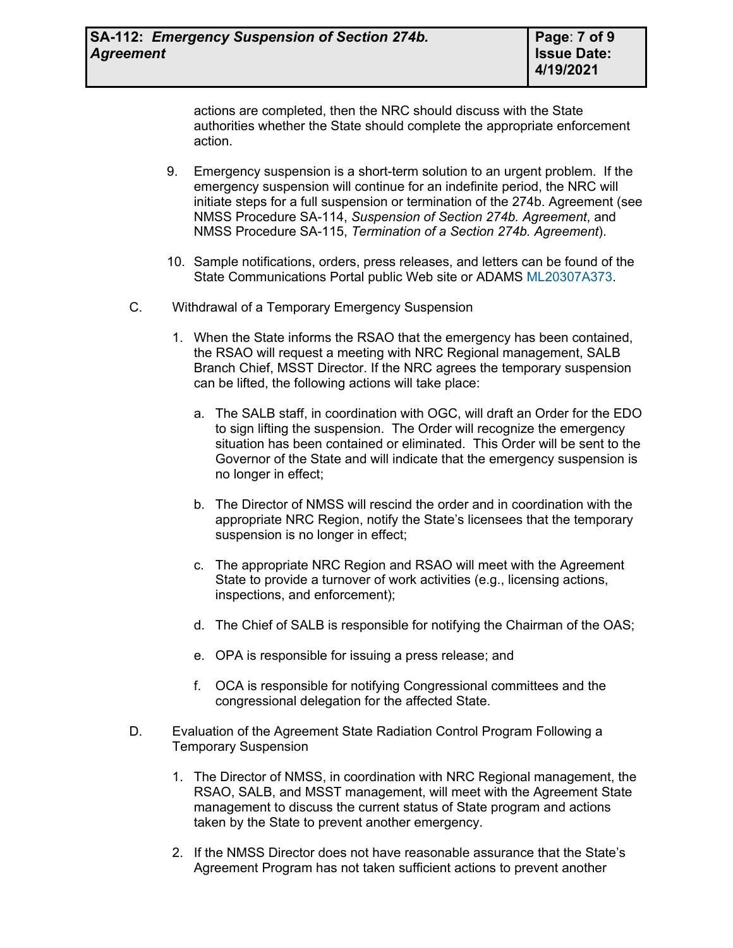actions are completed, then the NRC should discuss with the State authorities whether the State should complete the appropriate enforcement action.

- 9. Emergency suspension is a short-term solution to an urgent problem. If the emergency suspension will continue for an indefinite period, the NRC will initiate steps for a full suspension or termination of the 274b. Agreement (see NMSS Procedure SA-114, *Suspension of Section 274b. Agreement*, and NMSS Procedure SA-115, *Termination of a Section 274b. Agreement*).
- 10. Sample notifications, orders, press releases, and letters can be found of the State Communications Portal public Web site or ADAMS [ML20307A373.](https://adamsxt.nrc.gov/navigator/AdamsXT/content/downloadContent.faces?objectStoreName=MainLibrary&vsId=%7b967BF2A5-4DF6-C0E0-8EDD-758A0BA00000%7d&ForceBrowserDownloadMgrPrompt=false)
- C. Withdrawal of a Temporary Emergency Suspension
	- 1. When the State informs the RSAO that the emergency has been contained, the RSAO will request a meeting with NRC Regional management, SALB Branch Chief, MSST Director. If the NRC agrees the temporary suspension can be lifted, the following actions will take place:
		- a. The SALB staff, in coordination with OGC, will draft an Order for the EDO to sign lifting the suspension. The Order will recognize the emergency situation has been contained or eliminated. This Order will be sent to the Governor of the State and will indicate that the emergency suspension is no longer in effect;
		- b. The Director of NMSS will rescind the order and in coordination with the appropriate NRC Region, notify the State's licensees that the temporary suspension is no longer in effect;
		- c. The appropriate NRC Region and RSAO will meet with the Agreement State to provide a turnover of work activities (e.g., licensing actions, inspections, and enforcement);
		- d. The Chief of SALB is responsible for notifying the Chairman of the OAS;
		- e. OPA is responsible for issuing a press release; and
		- f. OCA is responsible for notifying Congressional committees and the congressional delegation for the affected State.
- D. Evaluation of the Agreement State Radiation Control Program Following a Temporary Suspension
	- 1. The Director of NMSS, in coordination with NRC Regional management, the RSAO, SALB, and MSST management, will meet with the Agreement State management to discuss the current status of State program and actions taken by the State to prevent another emergency.
	- 2. If the NMSS Director does not have reasonable assurance that the State's Agreement Program has not taken sufficient actions to prevent another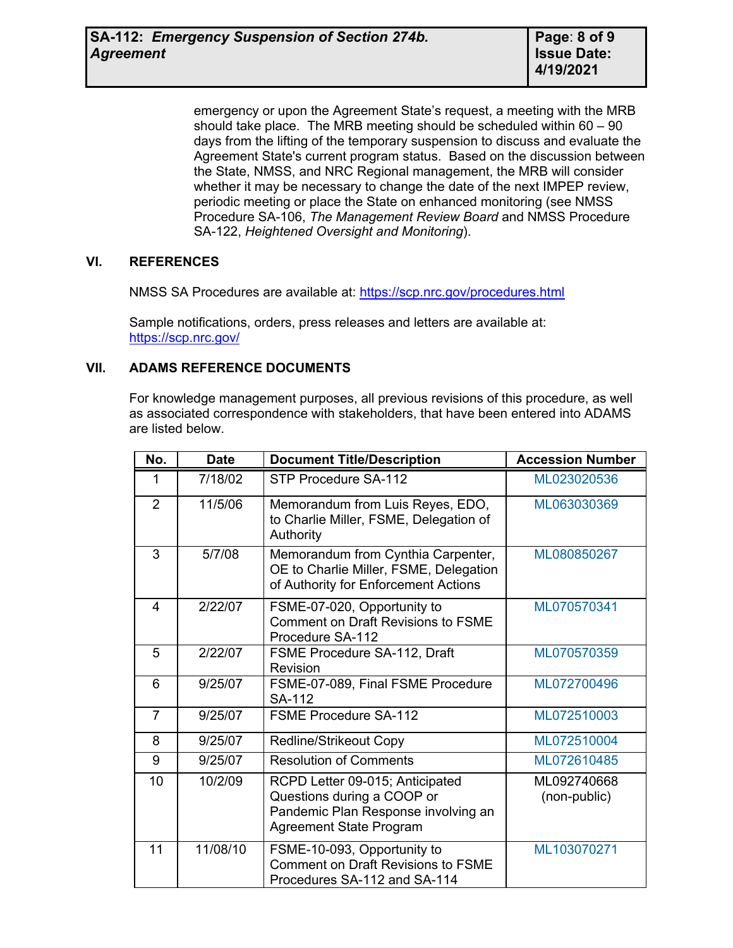emergency or upon the Agreement State's request, a meeting with the MRB should take place. The MRB meeting should be scheduled within 60 – 90 days from the lifting of the temporary suspension to discuss and evaluate the Agreement State's current program status. Based on the discussion between the State, NMSS, and NRC Regional management, the MRB will consider whether it may be necessary to change the date of the next IMPEP review, periodic meeting or place the State on enhanced monitoring (see NMSS Procedure SA-106, *The Management Review Board* and NMSS Procedure SA-122, *Heightened Oversight and Monitoring*).

# **VI. REFERENCES**

NMSS SA Procedures are available at: <https://scp.nrc.gov/procedures.html>

Sample notifications, orders, press releases and letters are available at: <https://scp.nrc.gov/>

# **VII. ADAMS REFERENCE DOCUMENTS**

For knowledge management purposes, all previous revisions of this procedure, as well as associated correspondence with stakeholders, that have been entered into ADAMS are listed below.

| No.            | <b>Date</b> | <b>Document Title/Description</b>                                                                                                      | <b>Accession Number</b>     |
|----------------|-------------|----------------------------------------------------------------------------------------------------------------------------------------|-----------------------------|
| 1              | 7/18/02     | STP Procedure SA-112                                                                                                                   | ML023020536                 |
| $\overline{2}$ | 11/5/06     | Memorandum from Luis Reyes, EDO,<br>to Charlie Miller, FSME, Delegation of<br>Authority                                                | ML063030369                 |
| 3              | 5/7/08      | Memorandum from Cynthia Carpenter,<br>OE to Charlie Miller, FSME, Delegation<br>of Authority for Enforcement Actions                   | ML080850267                 |
| $\overline{4}$ | 2/22/07     | FSME-07-020, Opportunity to<br><b>Comment on Draft Revisions to FSME</b><br>Procedure SA-112                                           | ML070570341                 |
| 5              | 2/22/07     | FSME Procedure SA-112, Draft<br>Revision                                                                                               | ML070570359                 |
| 6              | 9/25/07     | FSME-07-089, Final FSME Procedure<br>SA-112                                                                                            | ML072700496                 |
| $\overline{7}$ | 9/25/07     | <b>FSME Procedure SA-112</b>                                                                                                           | ML072510003                 |
| 8              | 9/25/07     | <b>Redline/Strikeout Copy</b>                                                                                                          | ML072510004                 |
| 9              | 9/25/07     | <b>Resolution of Comments</b>                                                                                                          | ML072610485                 |
| 10             | 10/2/09     | RCPD Letter 09-015; Anticipated<br>Questions during a COOP or<br>Pandemic Plan Response involving an<br><b>Agreement State Program</b> | ML092740668<br>(non-public) |
| 11             | 11/08/10    | FSME-10-093, Opportunity to<br><b>Comment on Draft Revisions to FSME</b><br>Procedures SA-112 and SA-114                               | ML103070271                 |